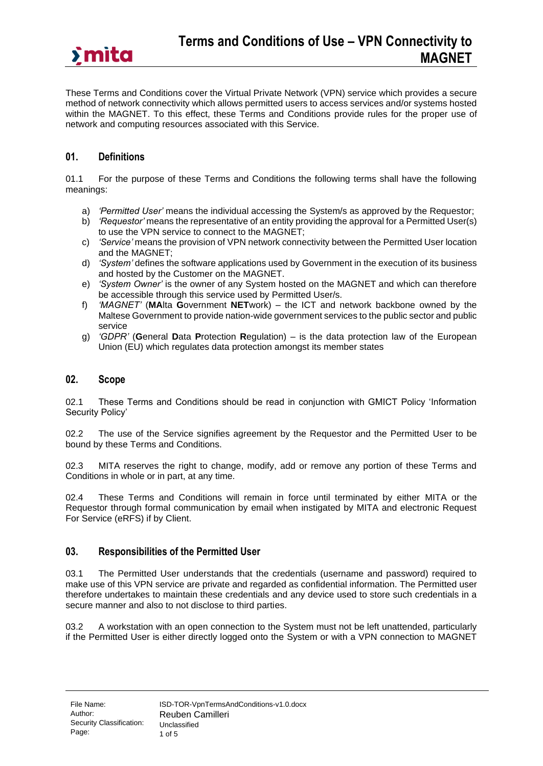These Terms and Conditions cover the Virtual Private Network (VPN) service which provides a secure method of network connectivity which allows permitted users to access services and/or systems hosted within the MAGNET. To this effect, these Terms and Conditions provide rules for the proper use of network and computing resources associated with this Service.

## **01. Definitions**

01.1 For the purpose of these Terms and Conditions the following terms shall have the following meanings:

- a) *'Permitted User'* means the individual accessing the System/s as approved by the Requestor;
- b) *'Requestor'* means the representative of an entity providing the approval for a Permitted User(s) to use the VPN service to connect to the MAGNET;
- c) *'Service'* means the provision of VPN network connectivity between the Permitted User location and the MAGNET;
- d) *'System'* defines the software applications used by Government in the execution of its business and hosted by the Customer on the MAGNET.
- e) *'System Owner'* is the owner of any System hosted on the MAGNET and which can therefore be accessible through this service used by Permitted User/s*.*
- f) *'MAGNET'* (**MA**lta **G**overnment **NET**work) the ICT and network backbone owned by the Maltese Government to provide nation-wide government services to the public sector and public service
- g) *'GDPR'* (**G**eneral **D**ata **P**rotection **R**egulation) is the data protection law of the European Union (EU) which regulates data protection amongst its member states

## **02. Scope**

02.1 These Terms and Conditions should be read in conjunction with GMICT Policy 'Information Security Policy'

02.2 The use of the Service signifies agreement by the Requestor and the Permitted User to be bound by these Terms and Conditions.

02.3 MITA reserves the right to change, modify, add or remove any portion of these Terms and Conditions in whole or in part, at any time.

02.4 These Terms and Conditions will remain in force until terminated by either MITA or the Requestor through formal communication by email when instigated by MITA and electronic Request For Service (eRFS) if by Client.

## **03. Responsibilities of the Permitted User**

03.1 The Permitted User understands that the credentials (username and password) required to make use of this VPN service are private and regarded as confidential information. The Permitted user therefore undertakes to maintain these credentials and any device used to store such credentials in a secure manner and also to not disclose to third parties.

03.2 A workstation with an open connection to the System must not be left unattended, particularly if the Permitted User is either directly logged onto the System or with a VPN connection to MAGNET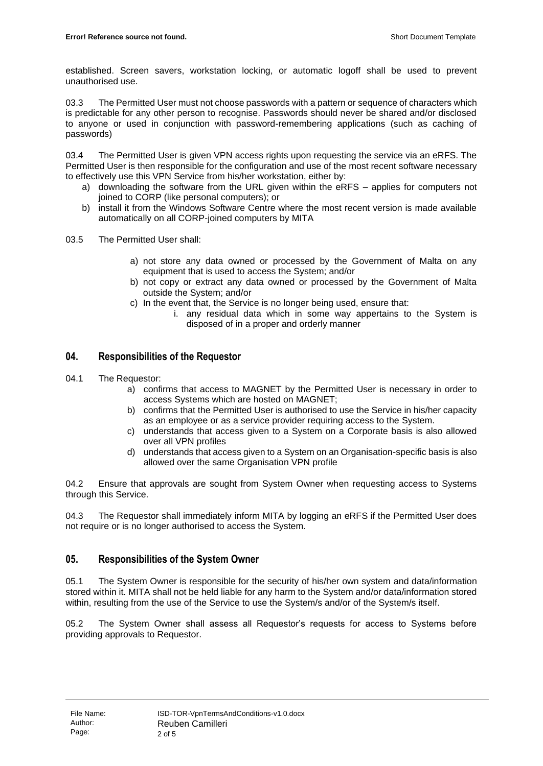established. Screen savers, workstation locking, or automatic logoff shall be used to prevent unauthorised use.

03.3 The Permitted User must not choose passwords with a pattern or sequence of characters which is predictable for any other person to recognise. Passwords should never be shared and/or disclosed to anyone or used in conjunction with password-remembering applications (such as caching of passwords)

03.4 The Permitted User is given VPN access rights upon requesting the service via an eRFS. The Permitted User is then responsible for the configuration and use of the most recent software necessary to effectively use this VPN Service from his/her workstation, either by:

- a) downloading the software from the URL given within the eRFS applies for computers not joined to CORP (like personal computers); or
- b) install it from the Windows Software Centre where the most recent version is made available automatically on all CORP-joined computers by MITA
- 03.5 The Permitted User shall:
	- a) not store any data owned or processed by the Government of Malta on any equipment that is used to access the System; and/or
	- b) not copy or extract any data owned or processed by the Government of Malta outside the System; and/or
	- c) In the event that, the Service is no longer being used, ensure that:
		- i. any residual data which in some way appertains to the System is disposed of in a proper and orderly manner

# **04. Responsibilities of the Requestor**

- 04.1 The Requestor:
	- a) confirms that access to MAGNET by the Permitted User is necessary in order to access Systems which are hosted on MAGNET;
	- b) confirms that the Permitted User is authorised to use the Service in his/her capacity as an employee or as a service provider requiring access to the System.
	- c) understands that access given to a System on a Corporate basis is also allowed over all VPN profiles
	- d) understands that access given to a System on an Organisation-specific basis is also allowed over the same Organisation VPN profile

04.2 Ensure that approvals are sought from System Owner when requesting access to Systems through this Service.

04.3 The Requestor shall immediately inform MITA by logging an eRFS if the Permitted User does not require or is no longer authorised to access the System.

## **05. Responsibilities of the System Owner**

05.1 The System Owner is responsible for the security of his/her own system and data/information stored within it. MITA shall not be held liable for any harm to the System and/or data/information stored within, resulting from the use of the Service to use the System/s and/or of the System/s itself.

05.2 The System Owner shall assess all Requestor's requests for access to Systems before providing approvals to Requestor.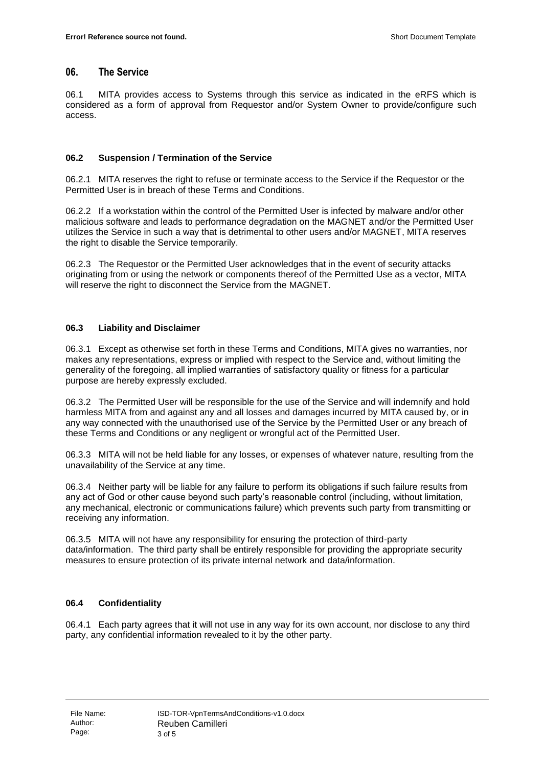#### **06. The Service**

06.1 MITA provides access to Systems through this service as indicated in the eRFS which is considered as a form of approval from Requestor and/or System Owner to provide/configure such access.

#### **06.2 Suspension / Termination of the Service**

06.2.1 MITA reserves the right to refuse or terminate access to the Service if the Requestor or the Permitted User is in breach of these Terms and Conditions.

06.2.2 If a workstation within the control of the Permitted User is infected by malware and/or other malicious software and leads to performance degradation on the MAGNET and/or the Permitted User utilizes the Service in such a way that is detrimental to other users and/or MAGNET, MITA reserves the right to disable the Service temporarily.

06.2.3 The Requestor or the Permitted User acknowledges that in the event of security attacks originating from or using the network or components thereof of the Permitted Use as a vector, MITA will reserve the right to disconnect the Service from the MAGNET.

#### **06.3 Liability and Disclaimer**

06.3.1 Except as otherwise set forth in these Terms and Conditions, MITA gives no warranties, nor makes any representations, express or implied with respect to the Service and, without limiting the generality of the foregoing, all implied warranties of satisfactory quality or fitness for a particular purpose are hereby expressly excluded.

06.3.2 The Permitted User will be responsible for the use of the Service and will indemnify and hold harmless MITA from and against any and all losses and damages incurred by MITA caused by, or in any way connected with the unauthorised use of the Service by the Permitted User or any breach of these Terms and Conditions or any negligent or wrongful act of the Permitted User.

06.3.3 MITA will not be held liable for any losses, or expenses of whatever nature, resulting from the unavailability of the Service at any time.

06.3.4 Neither party will be liable for any failure to perform its obligations if such failure results from any act of God or other cause beyond such party's reasonable control (including, without limitation, any mechanical, electronic or communications failure) which prevents such party from transmitting or receiving any information.

06.3.5 MITA will not have any responsibility for ensuring the protection of third-party data/information. The third party shall be entirely responsible for providing the appropriate security measures to ensure protection of its private internal network and data/information.

## **06.4 Confidentiality**

06.4.1 Each party agrees that it will not use in any way for its own account, nor disclose to any third party, any confidential information revealed to it by the other party.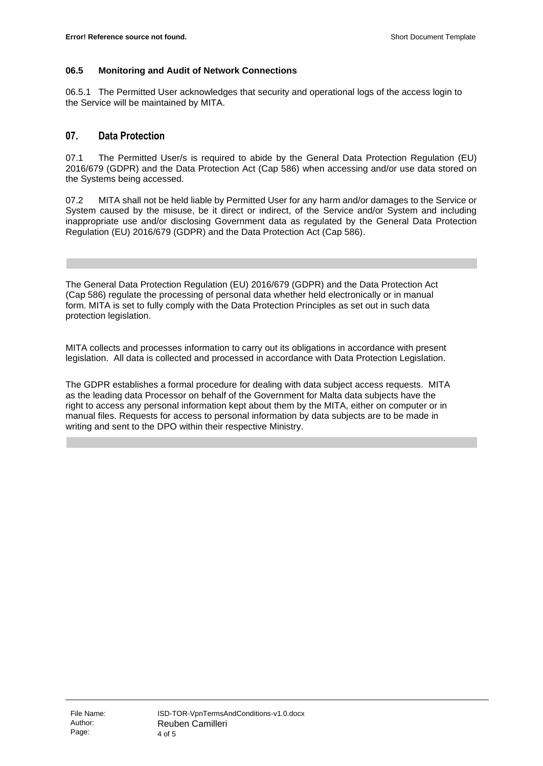#### **06.5 Monitoring and Audit of Network Connections**

06.5.1 The Permitted User acknowledges that security and operational logs of the access login to the Service will be maintained by MITA.

## **07. Data Protection**

07.1 The Permitted User/s is required to abide by the General Data Protection Regulation (EU) 2016/679 (GDPR) and the Data Protection Act (Cap 586) when accessing and/or use data stored on the Systems being accessed.

07.2 MITA shall not be held liable by Permitted User for any harm and/or damages to the Service or System caused by the misuse, be it direct or indirect, of the Service and/or System and including inappropriate use and/or disclosing Government data as regulated by the General Data Protection Regulation (EU) 2016/679 (GDPR) and the Data Protection Act (Cap 586).

The General Data Protection Regulation (EU) 2016/679 (GDPR) and the Data Protection Act (Cap 586) regulate the processing of personal data whether held electronically or in manual form. MITA is set to fully comply with the Data Protection Principles as set out in such data protection legislation.

MITA collects and processes information to carry out its obligations in accordance with present legislation. All data is collected and processed in accordance with Data Protection Legislation.

The GDPR establishes a formal procedure for dealing with data subject access requests. MITA as the leading data Processor on behalf of the Government for Malta data subjects have the right to access any personal information kept about them by the MITA, either on computer or in manual files. Requests for access to personal information by data subjects are to be made in writing and sent to the DPO within their respective Ministry.